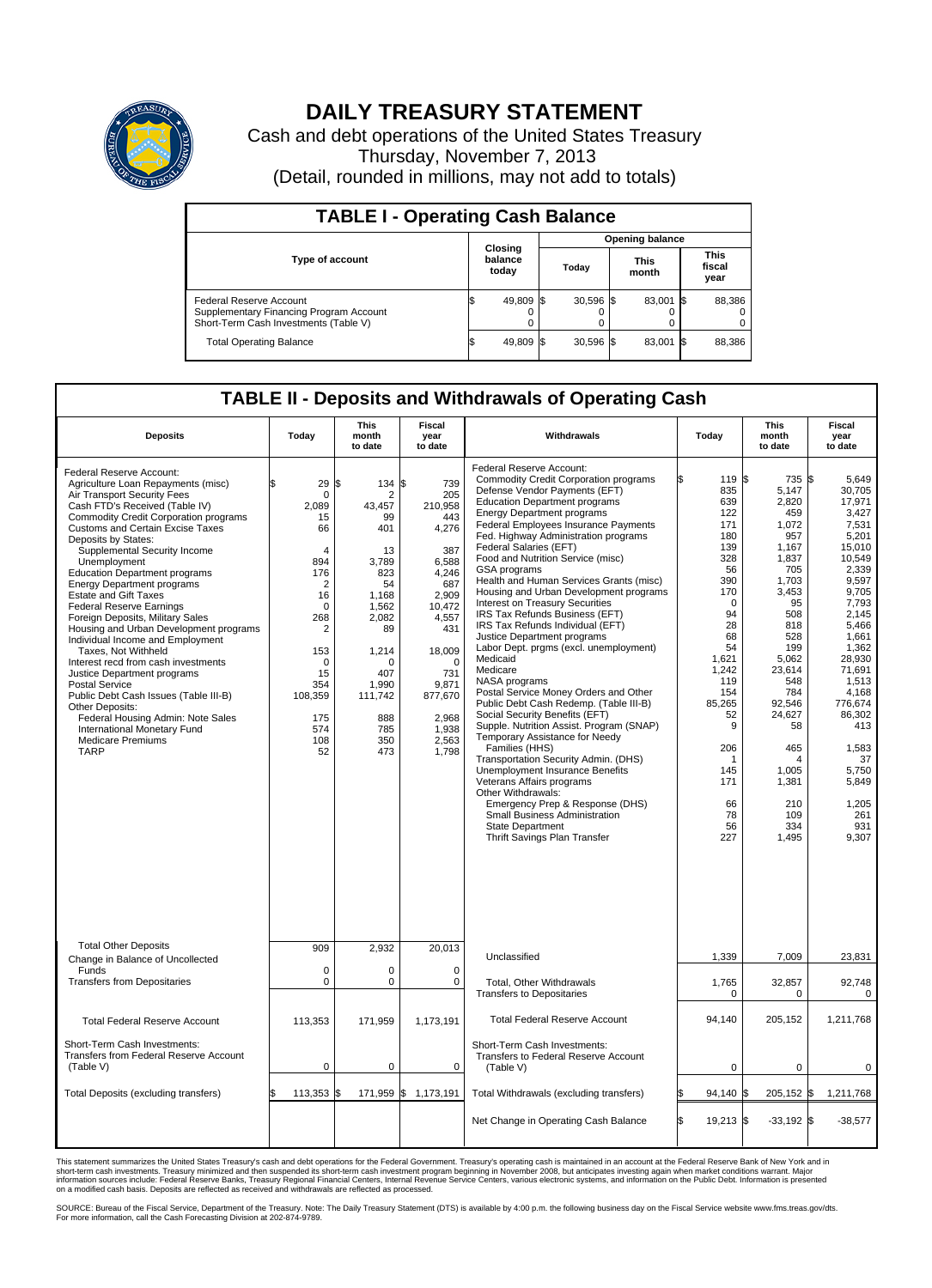

## **DAILY TREASURY STATEMENT**

Cash and debt operations of the United States Treasury Thursday, November 7, 2013 (Detail, rounded in millions, may not add to totals)

| <b>TABLE I - Operating Cash Balance</b>                                                                     |  |                             |  |             |  |                      |      |                               |  |  |
|-------------------------------------------------------------------------------------------------------------|--|-----------------------------|--|-------------|--|----------------------|------|-------------------------------|--|--|
| <b>Opening balance</b>                                                                                      |  |                             |  |             |  |                      |      |                               |  |  |
| <b>Type of account</b>                                                                                      |  | Closing<br>balance<br>today |  | Today       |  | <b>This</b><br>month |      | <b>This</b><br>fiscal<br>year |  |  |
| Federal Reserve Account<br>Supplementary Financing Program Account<br>Short-Term Cash Investments (Table V) |  | 49,809 \$                   |  | $30,596$ \$ |  | 83,001               | - 15 | 88,386                        |  |  |
| <b>Total Operating Balance</b>                                                                              |  | 49,809                      |  | $30,596$ \$ |  | 83,001               | - 15 | 88,386                        |  |  |

## **TABLE II - Deposits and Withdrawals of Operating Cash**

| <b>Deposits</b>                                                                                                                                                                                                                                                                                                                                                                                                                                                                                                                                                                                                                                                                                                                                                                                                                                        | Today                                                                                                                                                                                            | <b>This</b><br>month<br>to date                                                                                                                                                      | Fiscal<br>year<br>to date                                                                                                                                                                        | Withdrawals                                                                                                                                                                                                                                                                                                                                                                                                                                                                                                                                                                                                                                                                                                                                                                                                                                                                                                                                                                                                                                                                                                                                                    | Today                                                                                                                                                                                                                                  | <b>This</b><br>month<br>to date                                                                                                                                                                                                                                     | <b>Fiscal</b><br>year<br>to date                                                                                                                                                                                                                                                           |  |  |  |
|--------------------------------------------------------------------------------------------------------------------------------------------------------------------------------------------------------------------------------------------------------------------------------------------------------------------------------------------------------------------------------------------------------------------------------------------------------------------------------------------------------------------------------------------------------------------------------------------------------------------------------------------------------------------------------------------------------------------------------------------------------------------------------------------------------------------------------------------------------|--------------------------------------------------------------------------------------------------------------------------------------------------------------------------------------------------|--------------------------------------------------------------------------------------------------------------------------------------------------------------------------------------|--------------------------------------------------------------------------------------------------------------------------------------------------------------------------------------------------|----------------------------------------------------------------------------------------------------------------------------------------------------------------------------------------------------------------------------------------------------------------------------------------------------------------------------------------------------------------------------------------------------------------------------------------------------------------------------------------------------------------------------------------------------------------------------------------------------------------------------------------------------------------------------------------------------------------------------------------------------------------------------------------------------------------------------------------------------------------------------------------------------------------------------------------------------------------------------------------------------------------------------------------------------------------------------------------------------------------------------------------------------------------|----------------------------------------------------------------------------------------------------------------------------------------------------------------------------------------------------------------------------------------|---------------------------------------------------------------------------------------------------------------------------------------------------------------------------------------------------------------------------------------------------------------------|--------------------------------------------------------------------------------------------------------------------------------------------------------------------------------------------------------------------------------------------------------------------------------------------|--|--|--|
| Federal Reserve Account:<br>Agriculture Loan Repayments (misc)<br>Air Transport Security Fees<br>Cash FTD's Received (Table IV)<br>Commodity Credit Corporation programs<br><b>Customs and Certain Excise Taxes</b><br>Deposits by States:<br>Supplemental Security Income<br>Unemployment<br><b>Education Department programs</b><br><b>Energy Department programs</b><br><b>Estate and Gift Taxes</b><br><b>Federal Reserve Earnings</b><br>Foreign Deposits, Military Sales<br>Housing and Urban Development programs<br>Individual Income and Employment<br>Taxes. Not Withheld<br>Interest recd from cash investments<br>Justice Department programs<br>Postal Service<br>Public Debt Cash Issues (Table III-B)<br>Other Deposits:<br>Federal Housing Admin: Note Sales<br>International Monetary Fund<br><b>Medicare Premiums</b><br><b>TARP</b> | \$<br>29<br>0<br>2,089<br>15<br>66<br>$\overline{4}$<br>894<br>176<br>$\overline{2}$<br>16<br>0<br>268<br>$\overline{\mathbf{c}}$<br>153<br>0<br>15<br>354<br>108,359<br>175<br>574<br>108<br>52 | S.<br>$134$ $\sqrt{5}$<br>2<br>43.457<br>99<br>401<br>13<br>3,789<br>823<br>54<br>1,168<br>1.562<br>2,082<br>89<br>1,214<br>0<br>407<br>1.990<br>111,742<br>888<br>785<br>350<br>473 | 739<br>205<br>210,958<br>443<br>4,276<br>387<br>6,588<br>4,246<br>687<br>2,909<br>10,472<br>4,557<br>431<br>18,009<br>$\mathbf 0$<br>731<br>9,871<br>877,670<br>2,968<br>1,938<br>2,563<br>1,798 | Federal Reserve Account:<br><b>Commodity Credit Corporation programs</b><br>Defense Vendor Payments (EFT)<br><b>Education Department programs</b><br><b>Energy Department programs</b><br>Federal Employees Insurance Payments<br>Fed. Highway Administration programs<br>Federal Salaries (EFT)<br>Food and Nutrition Service (misc)<br>GSA programs<br>Health and Human Services Grants (misc)<br>Housing and Urban Development programs<br>Interest on Treasury Securities<br>IRS Tax Refunds Business (EFT)<br>IRS Tax Refunds Individual (EFT)<br>Justice Department programs<br>Labor Dept. prgms (excl. unemployment)<br>Medicaid<br>Medicare<br>NASA programs<br>Postal Service Money Orders and Other<br>Public Debt Cash Redemp. (Table III-B)<br>Social Security Benefits (EFT)<br>Supple. Nutrition Assist. Program (SNAP)<br>Temporary Assistance for Needy<br>Families (HHS)<br>Transportation Security Admin. (DHS)<br>Unemployment Insurance Benefits<br>Veterans Affairs programs<br>Other Withdrawals:<br>Emergency Prep & Response (DHS)<br>Small Business Administration<br><b>State Department</b><br><b>Thrift Savings Plan Transfer</b> | 119<br>ß<br>835<br>639<br>122<br>171<br>180<br>139<br>328<br>56<br>390<br>170<br>$\Omega$<br>94<br>28<br>68<br>54<br>1,621<br>1,242<br>119<br>154<br>85,265<br>52<br>9<br>206<br>$\overline{1}$<br>145<br>171<br>66<br>78<br>56<br>227 | S.<br>735<br>5,147<br>2,820<br>459<br>1,072<br>957<br>1,167<br>1,837<br>705<br>1,703<br>3,453<br>95<br>508<br>818<br>528<br>199<br>5.062<br>23,614<br>548<br>784<br>92,546<br>24,627<br>58<br>465<br>$\overline{4}$<br>1,005<br>1,381<br>210<br>109<br>334<br>1,495 | 1\$<br>5,649<br>30.705<br>17,971<br>3,427<br>7,531<br>5.201<br>15,010<br>10.549<br>2,339<br>9,597<br>9.705<br>7,793<br>2.145<br>5,466<br>1,661<br>1,362<br>28.930<br>71,691<br>1,513<br>4,168<br>776,674<br>86,302<br>413<br>1,583<br>37<br>5,750<br>5.849<br>1,205<br>261<br>931<br>9,307 |  |  |  |
| <b>Total Other Deposits</b>                                                                                                                                                                                                                                                                                                                                                                                                                                                                                                                                                                                                                                                                                                                                                                                                                            | 909                                                                                                                                                                                              | 2,932                                                                                                                                                                                | 20,013                                                                                                                                                                                           | Unclassified                                                                                                                                                                                                                                                                                                                                                                                                                                                                                                                                                                                                                                                                                                                                                                                                                                                                                                                                                                                                                                                                                                                                                   | 1,339                                                                                                                                                                                                                                  | 7,009                                                                                                                                                                                                                                                               | 23,831                                                                                                                                                                                                                                                                                     |  |  |  |
| Change in Balance of Uncollected<br>Funds                                                                                                                                                                                                                                                                                                                                                                                                                                                                                                                                                                                                                                                                                                                                                                                                              | $\mathbf 0$                                                                                                                                                                                      | $\mathbf 0$                                                                                                                                                                          | $\mathbf 0$                                                                                                                                                                                      |                                                                                                                                                                                                                                                                                                                                                                                                                                                                                                                                                                                                                                                                                                                                                                                                                                                                                                                                                                                                                                                                                                                                                                |                                                                                                                                                                                                                                        |                                                                                                                                                                                                                                                                     |                                                                                                                                                                                                                                                                                            |  |  |  |
| <b>Transfers from Depositaries</b>                                                                                                                                                                                                                                                                                                                                                                                                                                                                                                                                                                                                                                                                                                                                                                                                                     | $\mathbf 0$                                                                                                                                                                                      | $\pmb{0}$                                                                                                                                                                            | $\mathbf 0$                                                                                                                                                                                      | Total, Other Withdrawals<br><b>Transfers to Depositaries</b>                                                                                                                                                                                                                                                                                                                                                                                                                                                                                                                                                                                                                                                                                                                                                                                                                                                                                                                                                                                                                                                                                                   | 1,765<br>0                                                                                                                                                                                                                             | 32,857<br>$\mathbf 0$                                                                                                                                                                                                                                               | 92,748<br>$\mathbf 0$                                                                                                                                                                                                                                                                      |  |  |  |
| <b>Total Federal Reserve Account</b>                                                                                                                                                                                                                                                                                                                                                                                                                                                                                                                                                                                                                                                                                                                                                                                                                   | 113,353                                                                                                                                                                                          | 171,959                                                                                                                                                                              | 1,173,191                                                                                                                                                                                        | <b>Total Federal Reserve Account</b>                                                                                                                                                                                                                                                                                                                                                                                                                                                                                                                                                                                                                                                                                                                                                                                                                                                                                                                                                                                                                                                                                                                           | 94,140                                                                                                                                                                                                                                 | 205,152                                                                                                                                                                                                                                                             | 1,211,768                                                                                                                                                                                                                                                                                  |  |  |  |
| Short-Term Cash Investments:<br>Transfers from Federal Reserve Account<br>(Table V)                                                                                                                                                                                                                                                                                                                                                                                                                                                                                                                                                                                                                                                                                                                                                                    | $\pmb{0}$                                                                                                                                                                                        | $\mathbf 0$                                                                                                                                                                          | $\mathbf 0$                                                                                                                                                                                      | Short-Term Cash Investments:<br>Transfers to Federal Reserve Account<br>(Table V)                                                                                                                                                                                                                                                                                                                                                                                                                                                                                                                                                                                                                                                                                                                                                                                                                                                                                                                                                                                                                                                                              | $\Omega$                                                                                                                                                                                                                               | $\Omega$                                                                                                                                                                                                                                                            | $\Omega$                                                                                                                                                                                                                                                                                   |  |  |  |
| Total Deposits (excluding transfers)                                                                                                                                                                                                                                                                                                                                                                                                                                                                                                                                                                                                                                                                                                                                                                                                                   | 113,353                                                                                                                                                                                          | Ŝ.<br>171,959 \$                                                                                                                                                                     | 1,173,191                                                                                                                                                                                        | Total Withdrawals (excluding transfers)                                                                                                                                                                                                                                                                                                                                                                                                                                                                                                                                                                                                                                                                                                                                                                                                                                                                                                                                                                                                                                                                                                                        | 94,140                                                                                                                                                                                                                                 | 205,152 \$<br>\$                                                                                                                                                                                                                                                    | 1,211,768                                                                                                                                                                                                                                                                                  |  |  |  |
|                                                                                                                                                                                                                                                                                                                                                                                                                                                                                                                                                                                                                                                                                                                                                                                                                                                        |                                                                                                                                                                                                  |                                                                                                                                                                                      |                                                                                                                                                                                                  | Net Change in Operating Cash Balance                                                                                                                                                                                                                                                                                                                                                                                                                                                                                                                                                                                                                                                                                                                                                                                                                                                                                                                                                                                                                                                                                                                           | l\$<br>19,213 \$                                                                                                                                                                                                                       | $-33,192$ \$                                                                                                                                                                                                                                                        | $-38,577$                                                                                                                                                                                                                                                                                  |  |  |  |

This statement summarizes the United States Treasury's cash and debt operations for the Federal Government. Treasury's operating cash is maintained in an account at the Federal Reserve Bank of New York and in<br>short-term ca

SOURCE: Bureau of the Fiscal Service, Department of the Treasury. Note: The Daily Treasury Statement (DTS) is available by 4:00 p.m. the following business day on the Fiscal Service website www.fms.treas.gov/dts.<br>For more